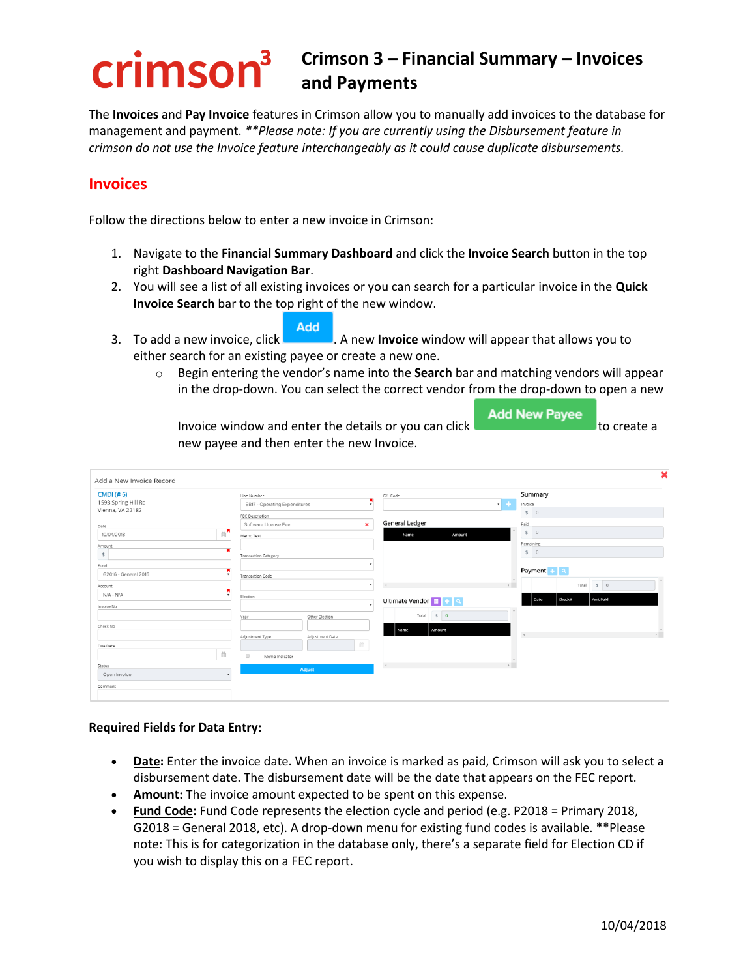# crimson<sup>3</sup>

# **Crimson 3 – Financial Summary – Invoices and Payments**

The **Invoices** and **Pay Invoice** features in Crimson allow you to manually add invoices to the database for management and payment. *\*\*Please note: If you are currently using the Disbursement feature in crimson do not use the Invoice feature interchangeably as it could cause duplicate disbursements.*

## **Invoices**

Follow the directions below to enter a new invoice in Crimson:

- 1. Navigate to the **Financial Summary Dashboard** and click the **Invoice Search** button in the top right **Dashboard Navigation Bar**.
- 2. You will see a list of all existing invoices or you can search for a particular invoice in the **Quick Invoice Search** bar to the top right of the new window.

Add

3. To add a new invoice, click . A new **Invoice** window will appear that allows you to either search for an existing payee or create a new one.

o Begin entering the vendor's name into the **Search** bar and matching vendors will appear in the drop-down. You can select the correct vendor from the drop-down to open a new

**Add New Payee** Invoice window and enter the details or you can click **the contract of the create a** new payee and then enter the new Invoice.

| Add a New Invoice Record                |                                                                                    |                                                             | ×            |
|-----------------------------------------|------------------------------------------------------------------------------------|-------------------------------------------------------------|--------------|
| <b>CMDI</b> (#6)<br>1593 Spring Hill Rd | Line Number<br>SB17 - Operating Expenditures                                       | Summary<br>G/L Code<br>$\cdot$ +<br>Invoice<br>$\mathbf{v}$ |              |
| Vienna, VA 22182                        | FEC Description                                                                    | \$<br>$\circ$                                               |              |
| Date                                    | Software License Fee<br>$\pmb{\times}$                                             | <b>General Ledger</b><br>Paid                               |              |
| 10/04/2018                              | $\mathbb{R}^n$<br>Memo Text                                                        | 50<br>Amount<br>Name                                        |              |
| Amount                                  |                                                                                    | Remaining                                                   |              |
| \$                                      | <b>Transaction Category</b>                                                        | \$ 0                                                        |              |
| Fund                                    |                                                                                    |                                                             |              |
| G2016 - General 2016                    | $\mathbf{v}$<br>Transaction Code                                                   | Payment + Q                                                 |              |
| Account                                 |                                                                                    | $\overline{a}$<br>$S$ 0<br>Total<br>$\rightarrow$           |              |
| $N/A - N/A$                             | ٠<br>Election                                                                      | <b>Check#</b><br>Amt Paid<br>Ultimate Vendor F + Q<br>Date  |              |
| Invoice No                              |                                                                                    |                                                             |              |
|                                         | Other Election<br>Year                                                             | Total \$ 0                                                  |              |
| Check No                                |                                                                                    | Name<br>Amount                                              |              |
|                                         | Adjustment Type<br>Adjustment Date                                                 | $\epsilon$                                                  | $\mathbb{R}$ |
| Due Date<br>$\widehat{\boxplus}$        | m                                                                                  |                                                             |              |
|                                         | $\qquad \qquad \qquad \qquad \qquad \qquad \qquad \qquad \qquad$<br>Memo Indicator | $\mathbf{r}$                                                |              |
| Status<br>Open Invoice                  | Adjust                                                                             | $\left\langle \cdot \right\rangle$                          |              |
|                                         |                                                                                    |                                                             |              |
| Comment                                 |                                                                                    |                                                             |              |
|                                         |                                                                                    |                                                             |              |

#### **Required Fields for Data Entry:**

- **Date:** Enter the invoice date. When an invoice is marked as paid, Crimson will ask you to select a disbursement date. The disbursement date will be the date that appears on the FEC report.
- **Amount:** The invoice amount expected to be spent on this expense.
- **Fund Code:** Fund Code represents the election cycle and period (e.g. P2018 = Primary 2018, G2018 = General 2018, etc). A drop-down menu for existing fund codes is available. \*\*Please note: This is for categorization in the database only, there's a separate field for Election CD if you wish to display this on a FEC report.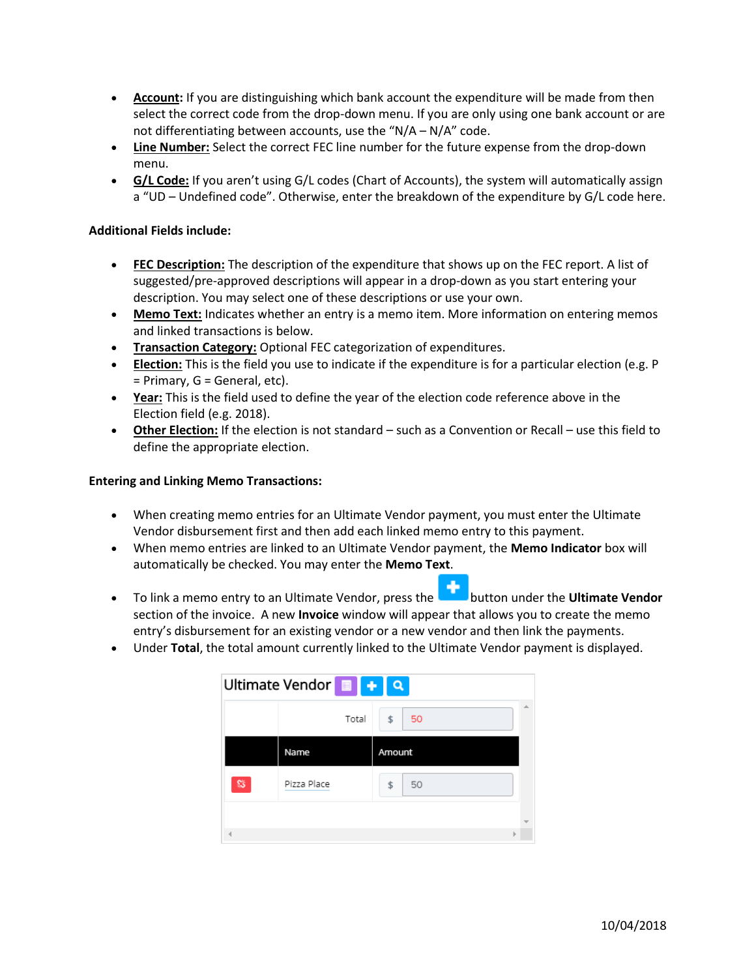- **Account:** If you are distinguishing which bank account the expenditure will be made from then select the correct code from the drop-down menu. If you are only using one bank account or are not differentiating between accounts, use the "N/A – N/A" code.
- **Line Number:** Select the correct FEC line number for the future expense from the drop-down menu.
- **G/L Code:** If you aren't using G/L codes (Chart of Accounts), the system will automatically assign a "UD – Undefined code". Otherwise, enter the breakdown of the expenditure by G/L code here.

#### **Additional Fields include:**

- **FEC Description:** The description of the expenditure that shows up on the FEC report. A list of suggested/pre-approved descriptions will appear in a drop-down as you start entering your description. You may select one of these descriptions or use your own.
- **Memo Text:** Indicates whether an entry is a memo item. More information on entering memos and linked transactions is below.
- **Transaction Category:** Optional FEC categorization of expenditures.
- **Election:** This is the field you use to indicate if the expenditure is for a particular election (e.g. P = Primary, G = General, etc).
- **Year:** This is the field used to define the year of the election code reference above in the Election field (e.g. 2018).
- **Other Election:** If the election is not standard such as a Convention or Recall use this field to define the appropriate election.

#### **Entering and Linking Memo Transactions:**

- When creating memo entries for an Ultimate Vendor payment, you must enter the Ultimate Vendor disbursement first and then add each linked memo entry to this payment.
- When memo entries are linked to an Ultimate Vendor payment, the **Memo Indicator** box will automatically be checked. You may enter the **Memo Text**.
- To link a memo entry to an Ultimate Vendor, press the **button under the Ultimate Vendor** section of the invoice. A new **Invoice** window will appear that allows you to create the memo entry's disbursement for an existing vendor or a new vendor and then link the payments.
- Under **Total**, the total amount currently linked to the Ultimate Vendor payment is displayed.

| Ultimate Vendor <sup>1</sup> 1444 |             |          |   |  |  |  |  |
|-----------------------------------|-------------|----------|---|--|--|--|--|
|                                   | Total       | \$<br>50 | ۸ |  |  |  |  |
|                                   | Name        | Amount   |   |  |  |  |  |
| 窈                                 | Pizza Place | 50<br>\$ |   |  |  |  |  |
|                                   |             |          |   |  |  |  |  |
|                                   |             | ь        |   |  |  |  |  |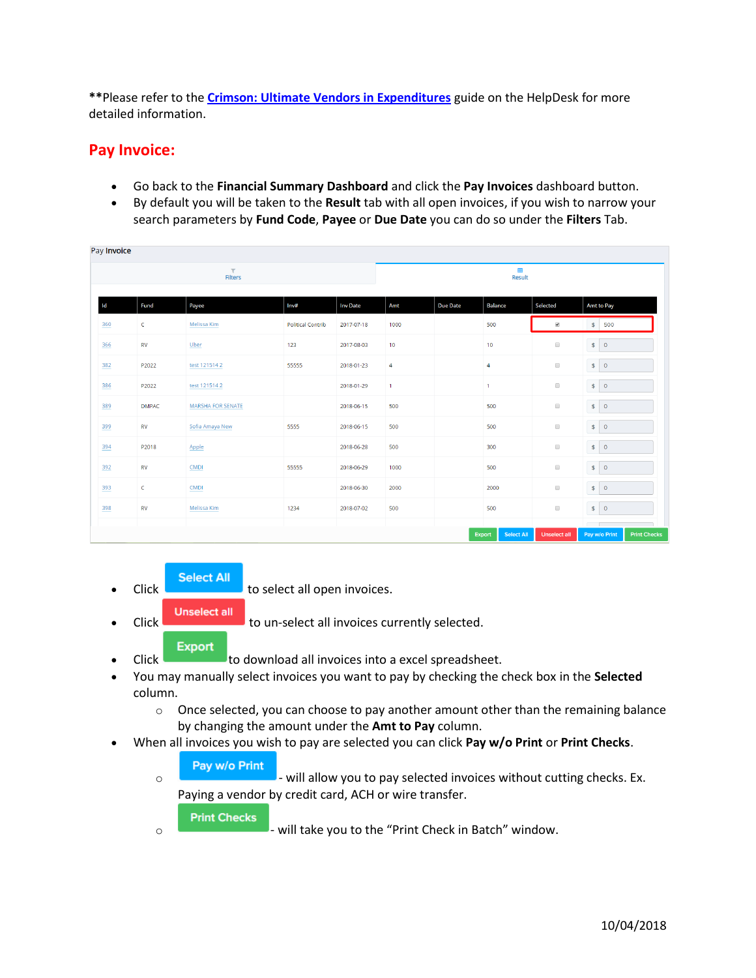**\*\***Please refer to the **[Crimson: Ultimate Vendors in Expenditures](https://support.cmdi.com/hc/en-us/articles/360019024351-Crimson-3-Expenditures-Ultimate-Vendors)** guide on the HelpDesk for more detailed information.

### **Pay Invoice:**

- Go back to the **Financial Summary Dashboard** and click the **Pay Invoices** dashboard button.
- By default you will be taken to the **Result** tab with all open invoices, if you wish to narrow your search parameters by **Fund Code**, **Payee** or **Due Date** you can do so under the **Filters** Tab.

|     |                | $\top$                   |                          |                 |                    |                 |                             |                      |                                                    |  |
|-----|----------------|--------------------------|--------------------------|-----------------|--------------------|-----------------|-----------------------------|----------------------|----------------------------------------------------|--|
|     | <b>Filters</b> |                          |                          |                 | 囲<br><b>Result</b> |                 |                             |                      |                                                    |  |
| Id  | Fund           | Payee                    | Inv#                     | <b>Inv Date</b> | Amt                | <b>Due Date</b> | <b>Balance</b>              | Selected             | Amt to Pay                                         |  |
| 360 | C              | Melissa Kim              | <b>Political Contrib</b> | 2017-07-18      | 1000               |                 | 500                         | $\blacktriangledown$ | $\mathsf{S}$<br>500                                |  |
| 366 | ${\sf RV}$     | Uber                     | 123                      | 2017-08-03      | 10 <sub>1</sub>    |                 | 10 <sub>10</sub>            | $\Box$               | S<br>$\circ$                                       |  |
| 382 | P2022          | test 1215142             | 55555                    | 2018-01-23      | $\overline{4}$     |                 | 4                           | $\Box$               | $\bullet$ 0                                        |  |
| 386 | P2022          | test 1215142             |                          | 2018-01-29      | $\mathbf{1}$       |                 | $\mathbf{1}$                | $\Box$               | $\vert \mathsf{s} \vert$ 0                         |  |
| 389 | <b>DMPAC</b>   | <b>MARSHA FOR SENATE</b> |                          | 2018-06-15      | 500                |                 | 500                         | $\Box$               | $\left  \cdot \right $<br>$\circ$                  |  |
| 399 | ${\sf RV}$     | Sofia Amaya New          | 5555                     | 2018-06-15      | 500                |                 | 500                         | $\Box$               | $\vert \mathsf{S} \vert$<br>$\circ$                |  |
| 394 | P2018          | Apple                    |                          | 2018-06-28      | 500                |                 | 300                         | $\Box$               | $\bar{\mathbf{s}}$<br>$\mathsf{o}$                 |  |
| 392 | <b>RV</b>      | <b>CMDI</b>              | 55555                    | 2018-06-29      | 1000               |                 | 500                         | $\Box$               | $\bullet$ 0                                        |  |
| 393 | $\mathsf{C}$   | <b>CMDI</b>              |                          | 2018-06-30      | 2000               |                 | 2000                        | $\Box$               | $\sqrt{2}$<br>$\circ$                              |  |
| 398 | <b>RV</b>      | Melissa Kim              | 1234                     | 2018-07-02      | 500                |                 | 500                         | $\Box$               | $\bullet$ 0                                        |  |
|     |                |                          |                          |                 |                    |                 | <b>Select All</b><br>Export | <b>Unselect all</b>  | $\sqrt{2}$<br><b>Print Checks</b><br>Pay w/o Print |  |

**Select All** 

**Click Click** to select all open invoices.

**Unselect all** 

Click **the contract of the un-select all invoices currently selected.** 

#### **Export**

- Click to download all invoices into a excel spreadsheet.
- You may manually select invoices you want to pay by checking the check box in the **Selected**  column.
	- $\circ$  Once selected, you can choose to pay another amount other than the remaining balance by changing the amount under the **Amt to Pay** column.
- When all invoices you wish to pay are selected you can click **Pay w/o Print** or **Print Checks**.
	- Pay w/o Print
	- $\circ$   $\blacksquare$  will allow you to pay selected invoices without cutting checks. Ex. Paying a vendor by credit card, ACH or wire transfer.
		- **Print Checks**
	- o will take you to the "Print Check in Batch" window.